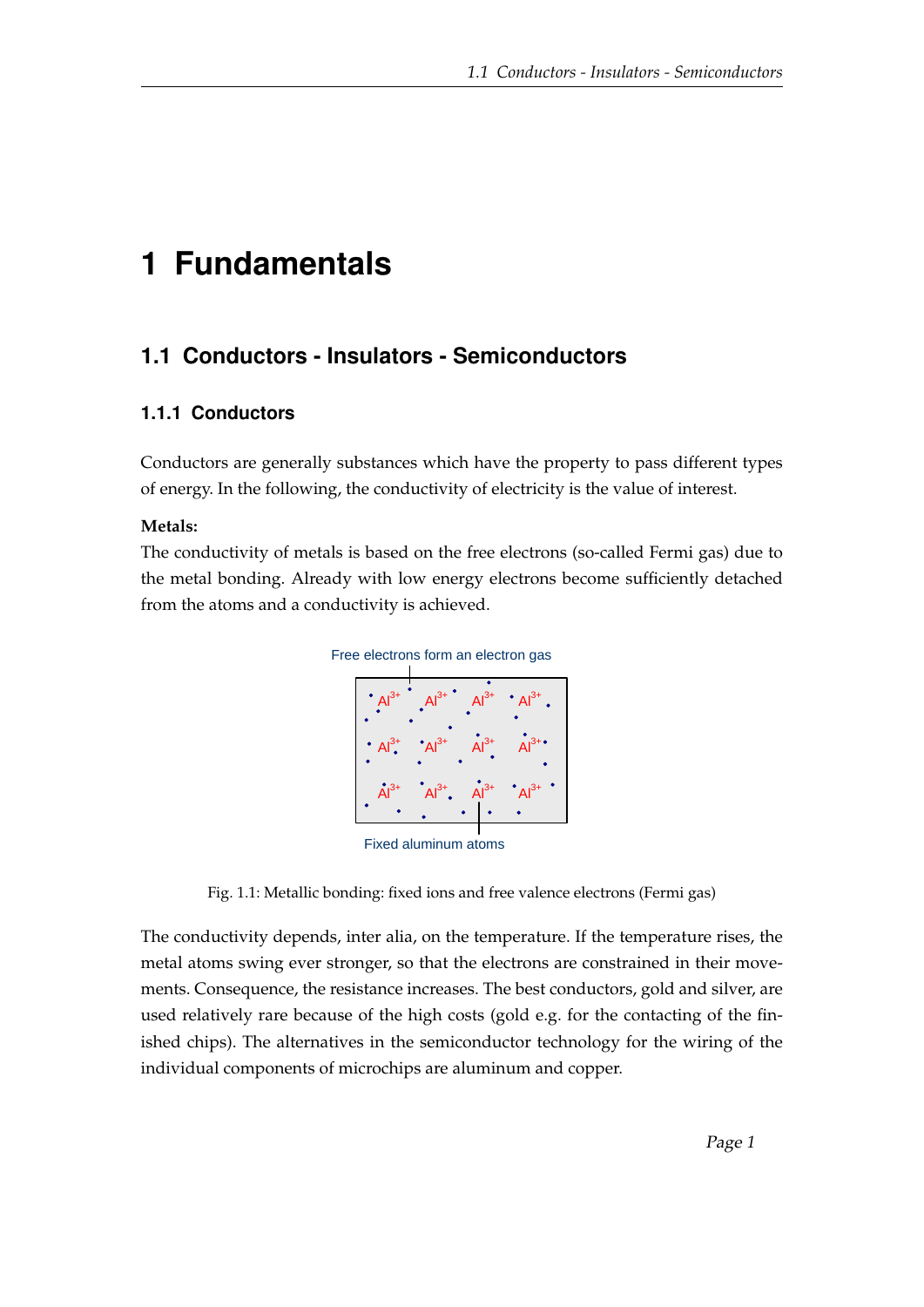# **1 Fundamentals**

# **1.1 Conductors - Insulators - Semiconductors**

# **1.1.1 Conductors**

Conductors are generally substances which have the property to pass different types of energy. In the following, the conductivity of electricity is the value of interest.

## **Metals:**

The conductivity of metals is based on the free electrons (so-called Fermi gas) due to the metal bonding. Already with low energy electrons become sufficiently detached from the atoms and a conductivity is achieved.



Fixed aluminum atoms

Fig. 1.1: Metallic bonding: fixed ions and free valence electrons (Fermi gas)

The conductivity depends, inter alia, on the temperature. If the temperature rises, the metal atoms swing ever stronger, so that the electrons are constrained in their movements. Consequence, the resistance increases. The best conductors, gold and silver, are used relatively rare because of the high costs (gold e.g. for the contacting of the finished chips). The alternatives in the semiconductor technology for the wiring of the individual components of microchips are aluminum and copper.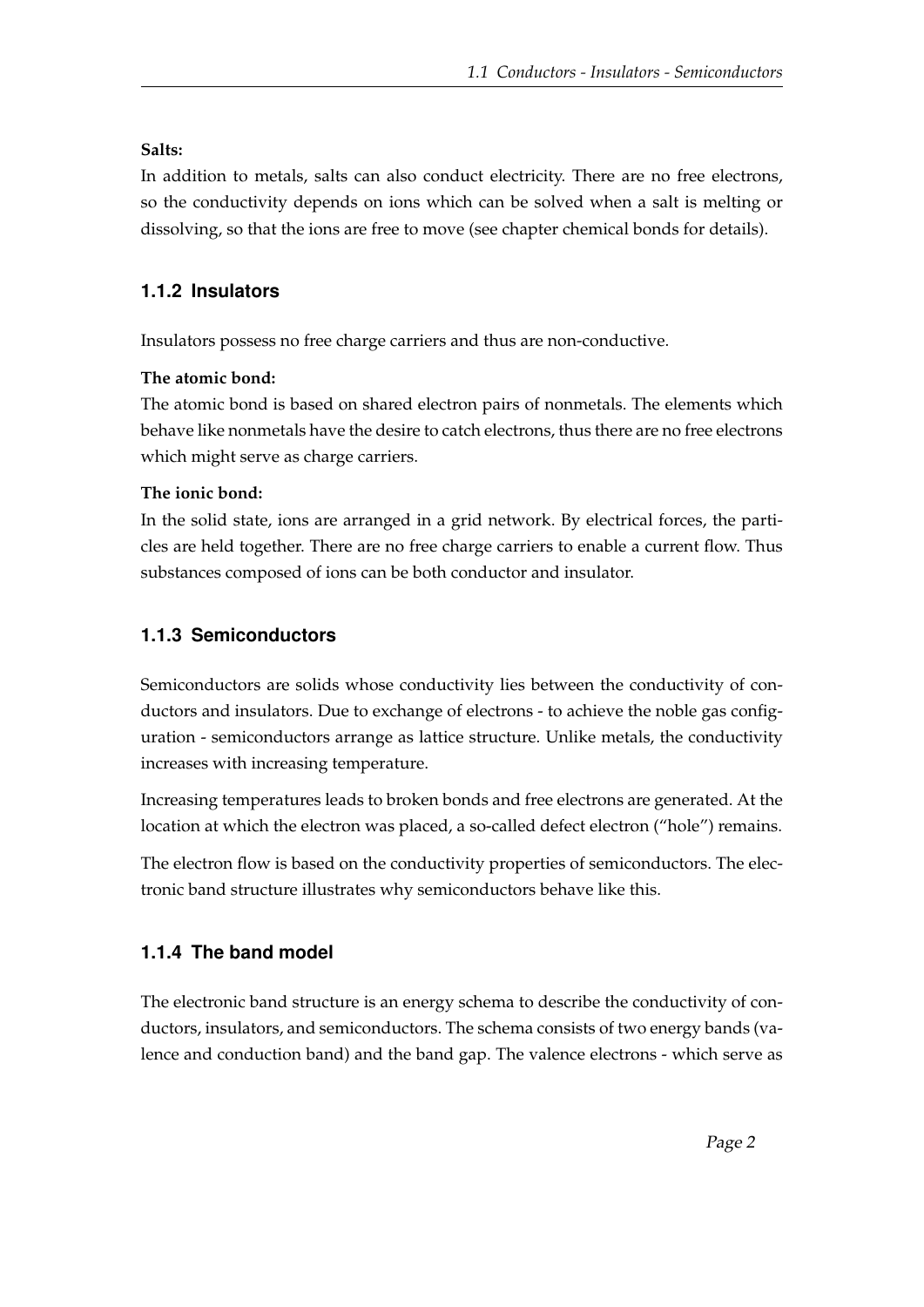#### **Salts:**

In addition to metals, salts can also conduct electricity. There are no free electrons, so the conductivity depends on ions which can be solved when a salt is melting or dissolving, so that the ions are free to move (see chapter chemical bonds for details).

# **1.1.2 Insulators**

Insulators possess no free charge carriers and thus are non-conductive.

#### **The atomic bond:**

The atomic bond is based on shared electron pairs of nonmetals. The elements which behave like nonmetals have the desire to catch electrons, thus there are no free electrons which might serve as charge carriers.

#### **The ionic bond:**

In the solid state, ions are arranged in a grid network. By electrical forces, the particles are held together. There are no free charge carriers to enable a current flow. Thus substances composed of ions can be both conductor and insulator.

# **1.1.3 Semiconductors**

Semiconductors are solids whose conductivity lies between the conductivity of conductors and insulators. Due to exchange of electrons - to achieve the noble gas configuration - semiconductors arrange as lattice structure. Unlike metals, the conductivity increases with increasing temperature.

Increasing temperatures leads to broken bonds and free electrons are generated. At the location at which the electron was placed, a so-called defect electron ("hole") remains.

The electron flow is based on the conductivity properties of semiconductors. The electronic band structure illustrates why semiconductors behave like this.

## **1.1.4 The band model**

The electronic band structure is an energy schema to describe the conductivity of conductors, insulators, and semiconductors. The schema consists of two energy bands (valence and conduction band) and the band gap. The valence electrons - which serve as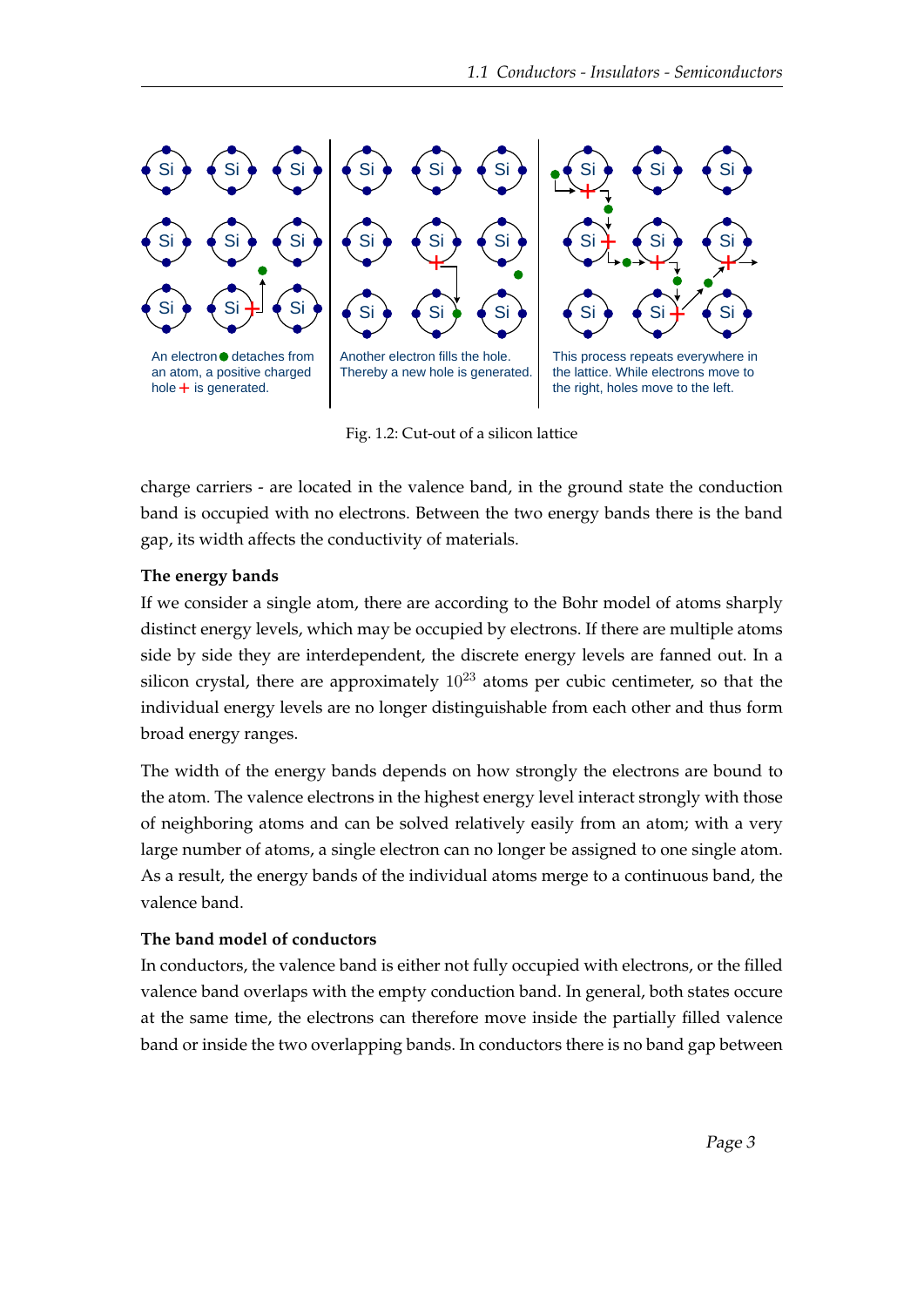

Fig. 1.2: Cut-out of a silicon lattice

charge carriers - are located in the valence band, in the ground state the conduction band is occupied with no electrons. Between the two energy bands there is the band gap, its width affects the conductivity of materials.

#### **The energy bands**

If we consider a single atom, there are according to the Bohr model of atoms sharply distinct energy levels, which may be occupied by electrons. If there are multiple atoms side by side they are interdependent, the discrete energy levels are fanned out. In a silicon crystal, there are approximately  $10^{23}$  atoms per cubic centimeter, so that the individual energy levels are no longer distinguishable from each other and thus form broad energy ranges.

The width of the energy bands depends on how strongly the electrons are bound to the atom. The valence electrons in the highest energy level interact strongly with those of neighboring atoms and can be solved relatively easily from an atom; with a very large number of atoms, a single electron can no longer be assigned to one single atom. As a result, the energy bands of the individual atoms merge to a continuous band, the valence band.

#### **The band model of conductors**

In conductors, the valence band is either not fully occupied with electrons, or the filled valence band overlaps with the empty conduction band. In general, both states occure at the same time, the electrons can therefore move inside the partially filled valence band or inside the two overlapping bands. In conductors there is no band gap between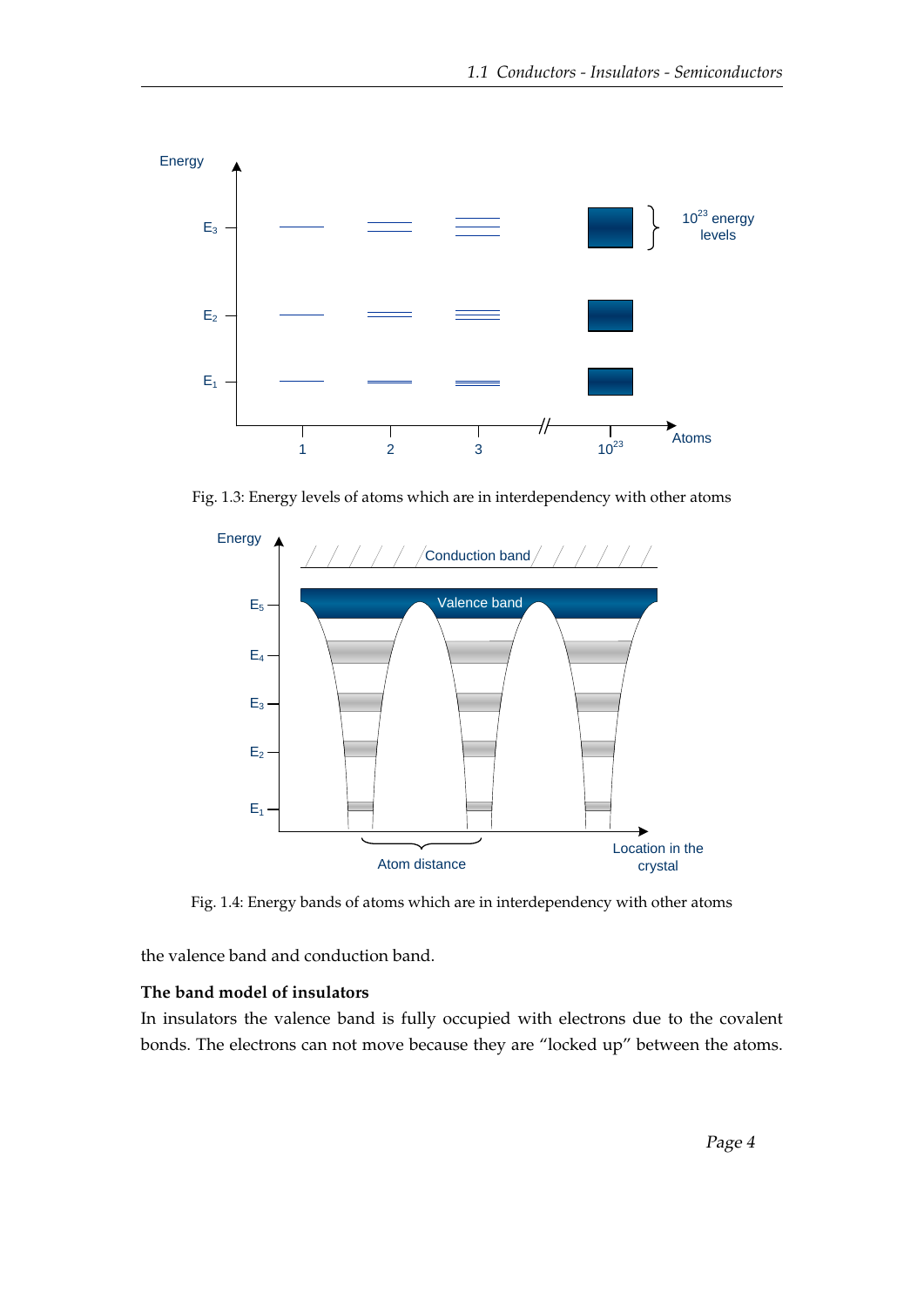

Fig. 1.3: Energy levels of atoms which are in interdependency with other atoms



Fig. 1.4: Energy bands of atoms which are in interdependency with other atoms

the valence band and conduction band.

# **The band model of insulators**

In insulators the valence band is fully occupied with electrons due to the covalent bonds. The electrons can not move because they are "locked up" between the atoms.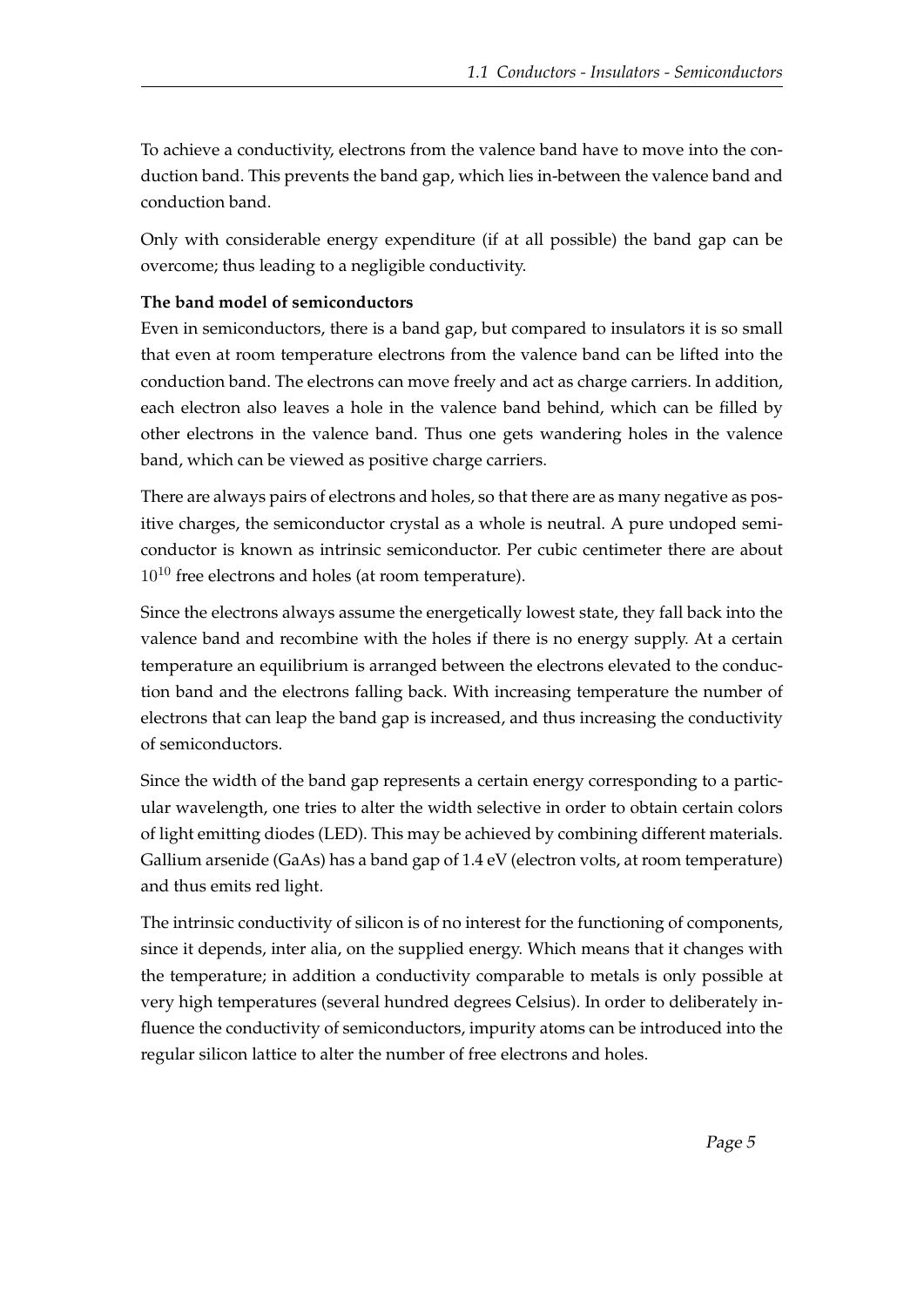To achieve a conductivity, electrons from the valence band have to move into the conduction band. This prevents the band gap, which lies in-between the valence band and conduction band.

Only with considerable energy expenditure (if at all possible) the band gap can be overcome; thus leading to a negligible conductivity.

#### **The band model of semiconductors**

Even in semiconductors, there is a band gap, but compared to insulators it is so small that even at room temperature electrons from the valence band can be lifted into the conduction band. The electrons can move freely and act as charge carriers. In addition, each electron also leaves a hole in the valence band behind, which can be filled by other electrons in the valence band. Thus one gets wandering holes in the valence band, which can be viewed as positive charge carriers.

There are always pairs of electrons and holes, so that there are as many negative as positive charges, the semiconductor crystal as a whole is neutral. A pure undoped semiconductor is known as intrinsic semiconductor. Per cubic centimeter there are about  $10^{10}$  free electrons and holes (at room temperature).

Since the electrons always assume the energetically lowest state, they fall back into the valence band and recombine with the holes if there is no energy supply. At a certain temperature an equilibrium is arranged between the electrons elevated to the conduction band and the electrons falling back. With increasing temperature the number of electrons that can leap the band gap is increased, and thus increasing the conductivity of semiconductors.

Since the width of the band gap represents a certain energy corresponding to a particular wavelength, one tries to alter the width selective in order to obtain certain colors of light emitting diodes (LED). This may be achieved by combining different materials. Gallium arsenide (GaAs) has a band gap of 1.4 eV (electron volts, at room temperature) and thus emits red light.

The intrinsic conductivity of silicon is of no interest for the functioning of components, since it depends, inter alia, on the supplied energy. Which means that it changes with the temperature; in addition a conductivity comparable to metals is only possible at very high temperatures (several hundred degrees Celsius). In order to deliberately influence the conductivity of semiconductors, impurity atoms can be introduced into the regular silicon lattice to alter the number of free electrons and holes.